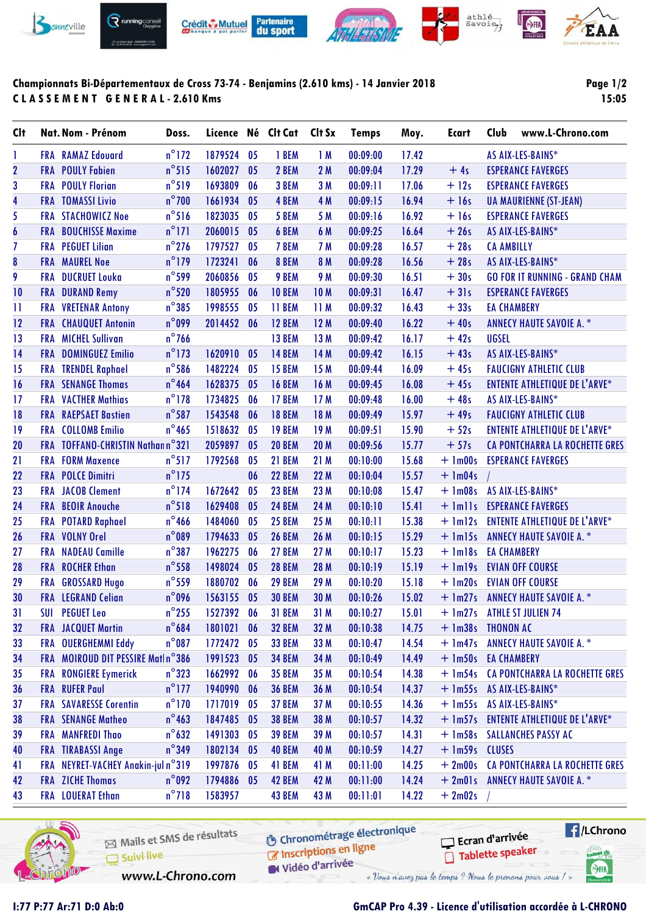

# **Championnats Bi-Départementaux de Cross 73-74 - Benjamins (2.610 kms) - 14 Janvier 2018 C L A S S E M E N T G E N E R A L - 2.610 Kms**

# **Page 1/2 15:05**

| <b>Clt</b>              |            | Nat. Nom - Prénom                 | Doss.           | Licence Né Clt Cat |                |               | Clt Sx     | <b>Temps</b> | Moy.  | <b>Ecart</b>        | Club               | www.L-Chrono.com                       |
|-------------------------|------------|-----------------------------------|-----------------|--------------------|----------------|---------------|------------|--------------|-------|---------------------|--------------------|----------------------------------------|
| 1                       |            | <b>FRA</b> RAMAZ Edouard          | $n^{\circ}$ 172 | 1879524            | 05             | 1 BEM         | 1M         | 00:09:00     | 17.42 |                     |                    | AS AIX-LES-BAINS*                      |
| $\overline{\mathbf{2}}$ |            | <b>FRA</b> POULY Fabien           | $n^{\circ}515$  | 1602027            | 05             | 2 BEM         | 2M         | 00:09:04     | 17.29 | $+4s$               |                    | <b>ESPERANCE FAVERGES</b>              |
| 3                       |            | <b>FRA POULY Florian</b>          | $n^{\circ}519$  | 1693809            | 06             | 3 BEM         | 3M         | 00:09:11     | 17.06 | $+12s$              |                    | <b>ESPERANCE FAVERGES</b>              |
| $\overline{\mathbf{4}}$ |            | <b>FRA TOMASSI Livio</b>          | $n^{\circ}$ 700 | 1661934            | 05             | 4 BEM         | 4 M        | 00:09:15     | 16.94 | $+16s$              |                    | <b>UA MAURIENNE (ST-JEAN)</b>          |
| 5                       |            | <b>FRA STACHOWICZ Noe</b>         | $n^{\circ}$ 516 | 1823035            | 05             | 5 BEM         | 5 M        | 00:09:16     | 16.92 | $+16s$              |                    | <b>ESPERANCE FAVERGES</b>              |
| $\boldsymbol{6}$        |            | <b>FRA</b> BOUCHISSE Maxime       | $n^{\circ}$ 171 | 2060015            | 05             | 6 BEM         | 6 M        | 00:09:25     | 16.64 | $+26s$              |                    | AS AIX-LES-BAINS*                      |
| $\overline{1}$          |            | <b>FRA PEGUET Lilian</b>          | $n^{\circ}$ 276 | 1797527            | 05             | 7 BEM         | 7 M        | 00:09:28     | 16.57 | $+28s$              | <b>CA AMBILLY</b>  |                                        |
| 8                       |            | <b>FRA MAUREL Noe</b>             | $n^{\circ}$ 179 | 1723241            | 06             | 8 BEM         | 8 M        | 00:09:28     | 16.56 | $+28s$              |                    | AS AIX-LES-BAINS*                      |
| 9                       |            | FRA DUCRUET Louka                 | $n^{\circ}$ 599 | 2060856            | 05             | 9 BEM         | 9 M        | 00:09:30     | 16.51 | $+30s$              |                    | <b>GO FOR IT RUNNING - GRAND CHAM</b>  |
| 10                      | FRA        | <b>DURAND Remy</b>                | $n^{\circ}$ 520 | 1805955            | 06             | <b>10 BEM</b> | <b>10M</b> | 00:09:31     | 16.47 | $+31s$              |                    | <b>ESPERANCE FAVERGES</b>              |
| 11                      | FRA        | <b>VRETENAR Antony</b>            | $n^{\circ}385$  | 1998555            | 05             | 11 BEM        | 11M        | 00:09:32     | 16.43 | $+33s$              | <b>EA CHAMBERY</b> |                                        |
| 12                      |            | <b>FRA</b> CHAUQUET Antonin       | $n^{\circ}$ 099 | 2014452            | 06             | 12 BEM        | 12M        | 00:09:40     | 16.22 | $+40s$              |                    | <b>ANNECY HAUTE SAVOIE A. *</b>        |
| 13                      |            | <b>FRA</b> MICHEL Sullivan        | $n^{\circ}$ 766 |                    |                | 13 BEM        | 13 M       | 00:09:42     | 16.17 | $+42s$              | <b>UGSEL</b>       |                                        |
| 14                      |            | FRA DOMINGUEZ Emilio              | $n^{\circ}$ 173 | 1620910            | 0 <sub>5</sub> | <b>14 BEM</b> | 14 M       | 00:09:42     | 16.15 | $+43s$              |                    | AS AIX-LES-BAINS*                      |
| 15                      |            | <b>FRA</b> TRENDEL Raphael        | $n^{\circ}$ 586 | 1482224            | 05             | <b>15 BEM</b> | 15 M       | 00:09:44     | 16.09 | $+45s$              |                    | <b>FAUCIGNY ATHLETIC CLUB</b>          |
| 16                      |            | <b>FRA</b> SENANGE Thomas         | $n^{\circ}$ 464 | 1628375            | 0 <sub>5</sub> | <b>16 BEM</b> | 16 M       | 00:09:45     | 16.08 | $+45s$              |                    | <b>ENTENTE ATHLETIQUE DE L'ARVE*</b>   |
| 17                      |            | <b>FRA VACTHER Mathias</b>        | $n^{\circ}$ 178 | 1734825            | 06             | <b>17 BEM</b> | 17M        | 00:09:48     | 16.00 | $+48s$              |                    | AS AIX-LES-BAINS*                      |
| 18                      |            | <b>FRA</b> RAEPSAET Bastien       | $n^{\circ}$ 587 | 1543548            | 06             | <b>18 BEM</b> | 18 M       | 00:09:49     | 15.97 | $+49s$              |                    | <b>FAUCIGNY ATHLETIC CLUB</b>          |
| 19                      |            | <b>FRA</b> COLLOMB Emilio         | $n^{\circ}$ 465 | 1518632            | 0 <sub>5</sub> | <b>19 BEM</b> | 19M        | 00:09:51     | 15.90 | $+52s$              |                    | <b>ENTENTE ATHLETIQUE DE L'ARVE*</b>   |
| 20                      |            | FRA TOFFANO-CHRISTIN Nathann°321  |                 | 2059897            | 0 <sub>5</sub> | <b>20 BEM</b> | 20 M       | 00:09:56     | 15.77 | $+57s$              |                    | CA PONTCHARRA LA ROCHETTE GRES         |
| 21                      | <b>FRA</b> | <b>FORM Maxence</b>               | $n^{\circ}517$  | 1792568            | 05             | 21 BEM        | 21M        | 00:10:00     | 15.68 | $+ 1m00s$           |                    | <b>ESPERANCE FAVERGES</b>              |
| 22                      |            | <b>FRA POLCE Dimitri</b>          | $n^{\circ}$ 175 |                    | 06             | <b>22 BEM</b> | 22 M       | 00:10:04     | 15.57 | $+$ 1m04s           |                    |                                        |
| 23                      |            | <b>FRA JACOB Clement</b>          | $n^{\circ}$ 174 | 1672642            | 05             | <b>23 BEM</b> | 23 M       | 00:10:08     | 15.47 | $+$ 1m08s           |                    | AS AIX-LES-BAINS*                      |
| 24                      |            | FRA BEOIR Anouche                 | $n^{\circ}518$  | 1629408            | 05             | <b>24 BEM</b> | 24 M       | 00:10:10     | 15.41 | $+$ $lmlls$         |                    | <b>ESPERANCE FAVERGES</b>              |
| 25                      |            | FRA POTARD Raphael                | $n^{\circ}$ 466 | 1484060            | 05             | <b>25 BEM</b> | 25 M       | 00:10:11     | 15.38 | $+$ $lm12s$         |                    | <b>ENTENTE ATHLETIQUE DE L'ARVE*</b>   |
| 26                      |            | FRA VOLNY Orel                    | $n^{\circ}089$  | 1794633            | 05             | <b>26 BEM</b> | 26 M       | 00:10:15     | 15.29 | $+$ 1m15s           |                    | <b>ANNECY HAUTE SAVOIE A. *</b>        |
| 27                      | <b>FRA</b> | <b>NADEAU Camille</b>             | $n^{\circ}387$  | 1962275            | 06             | <b>27 BEM</b> | 27 M       | 00:10:17     | 15.23 | $+$ $lm18s$         | <b>EA CHAMBERY</b> |                                        |
| 28                      |            | <b>FRA</b> ROCHER Ethan           | $n^{\circ}$ 558 | 1498024            | 0 <sub>5</sub> | <b>28 BEM</b> | 28 M       | 00:10:19     | 15.19 | $+$ 1m19s           |                    | <b>EVIAN OFF COURSE</b>                |
| 29                      |            | FRA GROSSARD Hugo                 | $n^{\circ}$ 559 | 1880702            | 06             | <b>29 BEM</b> | 29 M       | 00:10:20     | 15.18 | $+$ 1m20s           |                    | <b>EVIAN OFF COURSE</b>                |
| 30                      |            | FRA LEGRAND Celian                | $n^{\circ}$ 096 | 1563155            | 0 <sub>5</sub> | <b>30 BEM</b> | 30 M       | 00:10:26     | 15.02 |                     |                    | + 1m27s ANNECY HAUTE SAVOIE A. *       |
| 31                      |            | <b>SUI PEGUET Leo</b>             | $n^{\circ}$ 255 | 1527392 06         |                | <b>31 BEM</b> | 31 M       | 00:10:27     | 15.01 |                     |                    | + 1m27s ATHLE ST JULIEN 74             |
| 32                      |            | <b>FRA</b> JACQUET Martin         | $n^{\circ}$ 684 | 1801021            | 06             | <b>32 BEM</b> | 32 M       | 00:10:38     | 14.75 | + 1m38s THONON AC   |                    |                                        |
| 33                      |            | FRA OUERGHEMMI Eddy               | $n^{\circ}087$  | 1772472            | 05             | <b>33 BEM</b> | 33 M       | 00:10:47     | 14.54 |                     |                    | + 1m47s ANNECY HAUTE SAVOIE A. *       |
| 34                      |            | FRA MOIROUD DIT PESSIRE Matin°386 |                 | 1991523            | 0 <sub>5</sub> | <b>34 BEM</b> | 34 M       | 00:10:49     | 14.49 | + 1m50s EA CHAMBERY |                    |                                        |
| 35                      |            | <b>FRA</b> RONGIERE Eymerick      | $n^{\circ}323$  | 1662992            | 06             | <b>35 BEM</b> | 35 M       | 00:10:54     | 14.38 |                     |                    | + 1m54s CA PONTCHARRA LA ROCHETTE GRES |
| 36                      |            | <b>FRA</b> RUFER Paul             | $n^{\circ}$ 177 | 1940990            | 06             | <b>36 BEM</b> | 36 M       | 00:10:54     | 14.37 |                     |                    | + 1m55s AS AIX-LES-BAINS*              |
| 37                      |            | <b>FRA SAVARESSE Corentin</b>     | $n^{\circ}$ 170 | 1717019            | 0 <sub>5</sub> | <b>37 BEM</b> | 37 M       | 00:10:55     | 14.36 |                     |                    | + 1m55s AS AIX-LES-BAINS*              |
| 38                      |            | <b>FRA</b> SENANGE Matheo         | $n^{\circ}$ 463 | 1847485 05         |                | <b>38 BEM</b> | 38 M       | 00:10:57     | 14.32 |                     |                    | + 1m57s ENTENTE ATHLETIQUE DE L'ARVE*  |
| 39                      |            | FRA MANFREDI Thao                 | $n^{\circ}$ 632 | 1491303            | 0 <sub>5</sub> | <b>39 BEM</b> | 39 M       | 00:10:57     | 14.31 |                     |                    | + 1m58s SALLANCHES PASSY AC            |
| 40                      |            | <b>FRA TIRABASSI Ange</b>         | $n^{\circ}$ 349 | 1802134            | 0 <sub>5</sub> | <b>40 BEM</b> | 40 M       | 00:10:59     | 14.27 | + 1m59s CLUSES      |                    |                                        |
| 41                      |            | FRA NEYRET-VACHEY Anakin-juln°319 |                 | 1997876            | 05             | 41 BEM        | 41 M       | 00:11:00     | 14.25 |                     |                    | + 2m00s CA PONTCHARRA LA ROCHETTE GRES |
| 42                      |            | <b>FRA</b> ZICHE Thomas           | $n^{\circ}092$  | 1794886            | 05             | 42 BEM        | 42 M       | 00:11:00     | 14.24 |                     |                    | + 2m01s ANNECY HAUTE SAVOIE A. *       |
| 43                      |            | <b>FRA</b> LOUERAT Ethan          | $n^{\circ}718$  | 1583957            |                | <b>43 BEM</b> | 43 M       | 00:11:01     | 14.22 | $+2m02s$            |                    |                                        |
|                         |            |                                   |                 |                    |                |               |            |              |       |                     |                    |                                        |



Mails et SMS de résultats Suivi live www.L-Chrono.com

**6** Chronométrage électronique Chronomedage

W Vidéo d'arrivée

« Vous n'avez pas le temps ? Nous le prenons pour vous !

## **I:77 P:77 Ar:71 D:0 Ab:0 GmCAP Pro 4.39 - Licence d'utilisation accordée à L-CHRONO**

Ecran d'arrivée

Tablette speaker

**Exercise** 

tabel<sup>1</sup>

SHA